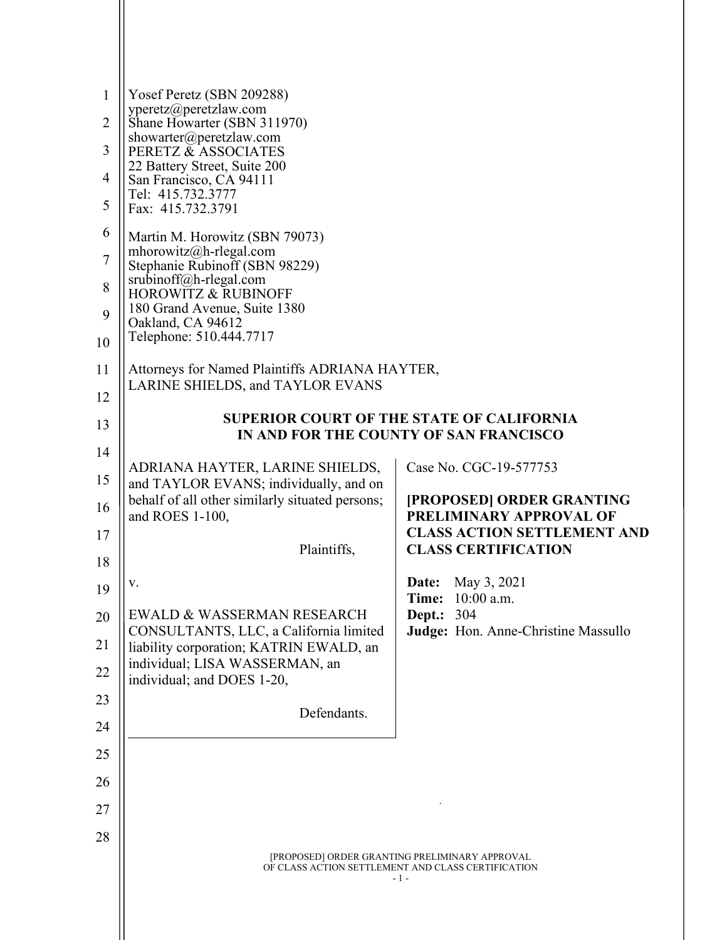| $\mathbf{1}$<br>$\overline{2}$ | Yosef Peretz (SBN 209288)<br>yperetz@peretzlaw.com<br>Shane Howarter (SBN 311970)                |                                                               |  |
|--------------------------------|--------------------------------------------------------------------------------------------------|---------------------------------------------------------------|--|
| 3                              | showarter@peretzlaw.com                                                                          |                                                               |  |
|                                | PERETZ & ASSOCIATES<br>22 Battery Street, Suite 200                                              |                                                               |  |
| $\overline{4}$<br>5            | San Francisco, CA 94111<br>Tel: 415.732.3777<br>Fax: 415.732.3791                                |                                                               |  |
| 6                              | Martin M. Horowitz (SBN 79073)                                                                   |                                                               |  |
| $\sqrt{ }$                     | mhorowitz@h-rlegal.com<br>Stephanie Rubinoff (SBN 98229)<br>$sru\overline{b}inoff@h$ -rlegal.com |                                                               |  |
| 8                              | <b>HOROWITZ &amp; RUBINOFF</b>                                                                   |                                                               |  |
| 9                              | 180 Grand Avenue, Suite 1380<br>Oakland, CA 94612                                                |                                                               |  |
| 10                             | Telephone: 510.444.7717                                                                          |                                                               |  |
| 11                             | Attorneys for Named Plaintiffs ADRIANA HAYTER,                                                   |                                                               |  |
| 12                             | LARINE SHIELDS, and TAYLOR EVANS                                                                 |                                                               |  |
| 13                             | <b>SUPERIOR COURT OF THE STATE OF CALIFORNIA</b><br>IN AND FOR THE COUNTY OF SAN FRANCISCO       |                                                               |  |
| 14                             |                                                                                                  |                                                               |  |
| 15                             | ADRIANA HAYTER, LARINE SHIELDS,                                                                  | Case No. CGC-19-577753                                        |  |
| 16                             | and TAYLOR EVANS; individually, and on<br>behalf of all other similarly situated persons;        | <b>[PROPOSED] ORDER GRANTING</b>                              |  |
|                                | and ROES 1-100,                                                                                  | PRELIMINARY APPROVAL OF<br><b>CLASS ACTION SETTLEMENT AND</b> |  |
| 17                             | Plaintiffs,                                                                                      | <b>CLASS CERTIFICATION</b>                                    |  |
| 18                             | V.                                                                                               | May 3, 2021<br>Date:                                          |  |
| 19                             |                                                                                                  | 10:00 a.m.<br>Time:                                           |  |
| 20                             | EWALD & WASSERMAN RESEARCH<br>CONSULTANTS, LLC, a California limited                             | Dept.:<br>304<br>Judge: Hon. Anne-Christine Massullo          |  |
| 21                             | liability corporation; KATRIN EWALD, an                                                          |                                                               |  |
| 22                             | individual; LISA WASSERMAN, an<br>individual; and DOES 1-20,                                     |                                                               |  |
| 23                             | Defendants.                                                                                      |                                                               |  |
| 24                             |                                                                                                  |                                                               |  |
| 25                             |                                                                                                  |                                                               |  |
| 26                             |                                                                                                  |                                                               |  |
| 27                             |                                                                                                  |                                                               |  |
| 28                             |                                                                                                  |                                                               |  |
|                                |                                                                                                  | [PROPOSED] ORDER GRANTING PRELIMINARY APPROVAL                |  |
|                                |                                                                                                  | OF CLASS ACTION SETTLEMENT AND CLASS CERTIFICATION<br>$-1-$   |  |
|                                |                                                                                                  |                                                               |  |
|                                |                                                                                                  |                                                               |  |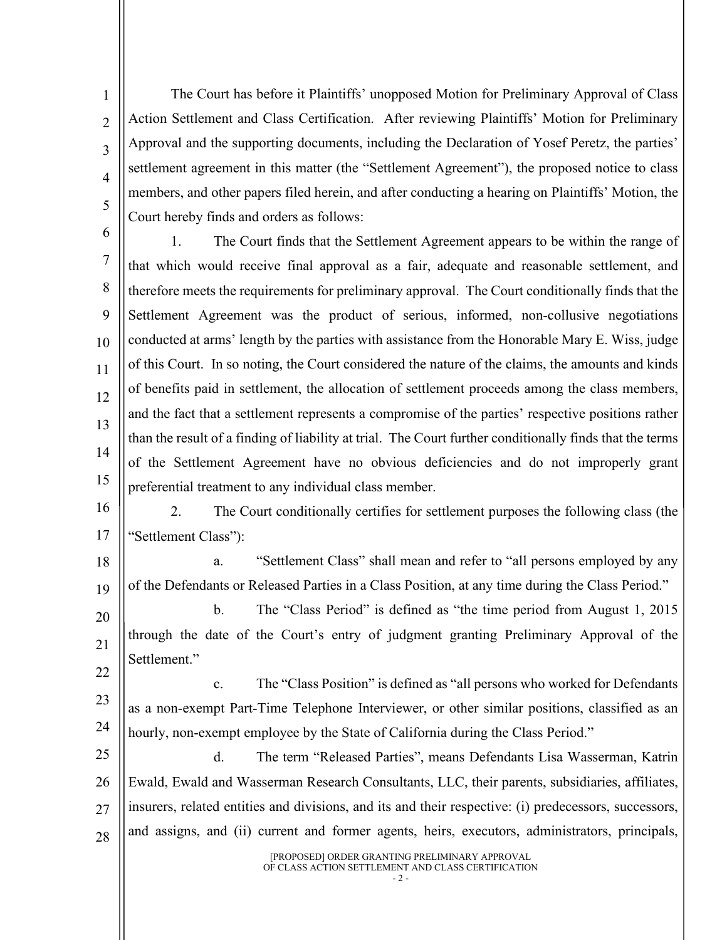The Court has before it Plaintiffs' unopposed Motion for Preliminary Approval of Class Action Settlement and Class Certification. After reviewing Plaintiffs' Motion for Preliminary Approval and the supporting documents, including the Declaration of Yosef Peretz, the parties' settlement agreement in this matter (the "Settlement Agreement"), the proposed notice to class members, and other papers filed herein, and after conducting a hearing on Plaintiffs' Motion, the Court hereby finds and orders as follows:

6

1

2

3

4

5

7 8  $\overline{Q}$ 10 11 12 13 14 15 1. The Court finds that the Settlement Agreement appears to be within the range of that which would receive final approval as a fair, adequate and reasonable settlement, and therefore meets the requirements for preliminary approval. The Court conditionally finds that the Settlement Agreement was the product of serious, informed, non-collusive negotiations conducted at arms' length by the parties with assistance from the Honorable Mary E. Wiss, judge of this Court. In so noting, the Court considered the nature of the claims, the amounts and kinds of benefits paid in settlement, the allocation of settlement proceeds among the class members, and the fact that a settlement represents a compromise of the parties' respective positions rather than the result of a finding of liability at trial. The Court further conditionally finds that the terms of the Settlement Agreement have no obvious deficiencies and do not improperly grant preferential treatment to any individual class member.

16 17 2. The Court conditionally certifies for settlement purposes the following class (the "Settlement Class"):

18 19 a. "Settlement Class" shall mean and refer to "all persons employed by any of the Defendants or Released Parties in a Class Position, at any time during the Class Period."

20 21 22 b. The "Class Period" is defined as "the time period from August 1, 2015 through the date of the Court's entry of judgment granting Preliminary Approval of the Settlement."

23 24 c. The "Class Position" is defined as "all persons who worked for Defendants as a non-exempt Part-Time Telephone Interviewer, or other similar positions, classified as an hourly, non-exempt employee by the State of California during the Class Period."

25 26 27 28 d. The term "Released Parties", means Defendants Lisa Wasserman, Katrin Ewald, Ewald and Wasserman Research Consultants, LLC, their parents, subsidiaries, affiliates, insurers, related entities and divisions, and its and their respective: (i) predecessors, successors, and assigns, and (ii) current and former agents, heirs, executors, administrators, principals,

> [PROPOSED] ORDER GRANTING PRELIMINARY APPROVAL OF CLASS ACTION SETTLEMENT AND CLASS CERTIFICATION  $-2$  -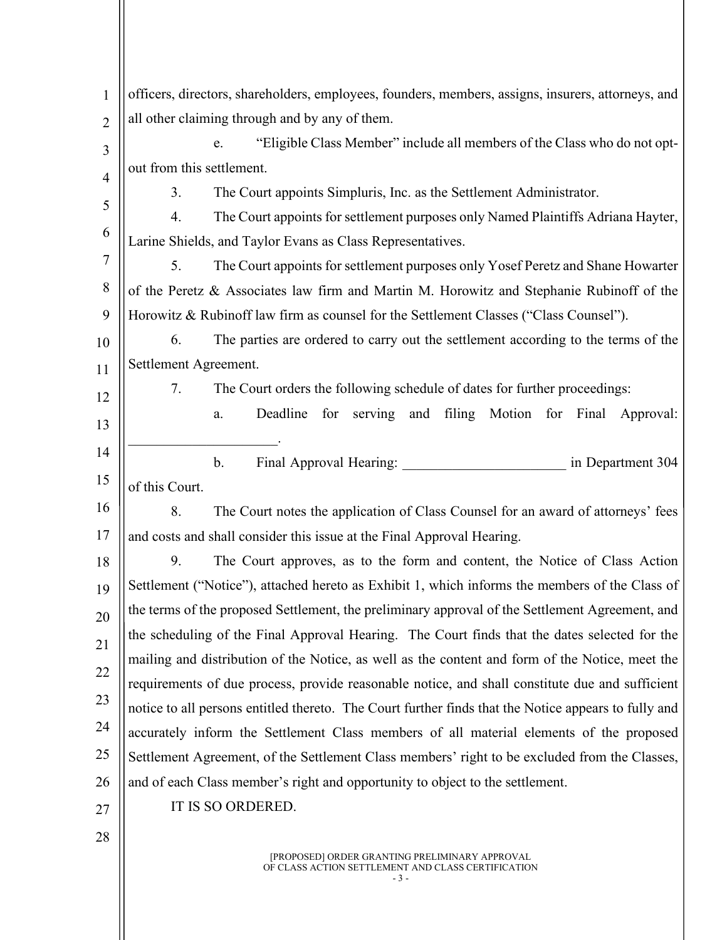| 1              | officers, directors, shareholders, employees, founders, members, assigns, insurers, attorneys, and   |  |  |
|----------------|------------------------------------------------------------------------------------------------------|--|--|
| $\overline{2}$ | all other claiming through and by any of them.                                                       |  |  |
| 3              | "Eligible Class Member" include all members of the Class who do not opt-<br>e.                       |  |  |
| $\overline{4}$ | out from this settlement.                                                                            |  |  |
|                | 3.<br>The Court appoints Simpluris, Inc. as the Settlement Administrator.                            |  |  |
| 5              | The Court appoints for settlement purposes only Named Plaintiffs Adriana Hayter,<br>4.               |  |  |
| 6              | Larine Shields, and Taylor Evans as Class Representatives.                                           |  |  |
| 7              | 5.<br>The Court appoints for settlement purposes only Yosef Peretz and Shane Howarter                |  |  |
| 8              | of the Peretz & Associates law firm and Martin M. Horowitz and Stephanie Rubinoff of the             |  |  |
| 9              | Horowitz & Rubinoff law firm as counsel for the Settlement Classes ("Class Counsel").                |  |  |
| 10             | The parties are ordered to carry out the settlement according to the terms of the<br>6.              |  |  |
| 11             | Settlement Agreement.                                                                                |  |  |
| 12             | 7.<br>The Court orders the following schedule of dates for further proceedings:                      |  |  |
| 13             | and filing Motion for Final Approval:<br>Deadline<br>for serving<br>a.                               |  |  |
| 14             |                                                                                                      |  |  |
|                | $\mathbf{b}$ .<br>in Department 304                                                                  |  |  |
| 15             | of this Court.                                                                                       |  |  |
| 16             | The Court notes the application of Class Counsel for an award of attorneys' fees<br>8.               |  |  |
| 17             | and costs and shall consider this issue at the Final Approval Hearing.                               |  |  |
| 18             | 9.<br>The Court approves, as to the form and content, the Notice of Class Action                     |  |  |
| 19             | Settlement ("Notice"), attached hereto as Exhibit 1, which informs the members of the Class of       |  |  |
| 20             | the terms of the proposed Settlement, the preliminary approval of the Settlement Agreement, and      |  |  |
| 21             | the scheduling of the Final Approval Hearing. The Court finds that the dates selected for the        |  |  |
| 22             | mailing and distribution of the Notice, as well as the content and form of the Notice, meet the      |  |  |
| 23             | requirements of due process, provide reasonable notice, and shall constitute due and sufficient      |  |  |
|                | notice to all persons entitled thereto. The Court further finds that the Notice appears to fully and |  |  |
| 24             | accurately inform the Settlement Class members of all material elements of the proposed              |  |  |
| 25             | Settlement Agreement, of the Settlement Class members' right to be excluded from the Classes,        |  |  |
| 26             | and of each Class member's right and opportunity to object to the settlement.                        |  |  |
| 27             | IT IS SO ORDERED.                                                                                    |  |  |
| 28             |                                                                                                      |  |  |
|                |                                                                                                      |  |  |

[PROPOSED] ORDER GRANTING PRELIMINARY APPROVAL OF CLASS ACTION SETTLEMENT AND CLASS CERTIFICATION

- 3 -